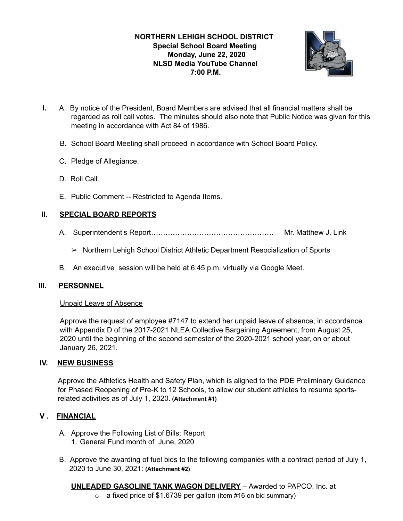# **NORTHERN LEHIGH SCHOOL DISTRICT Special School Board Meeting Monday, June 22, 2020 NLSD Media YouTube Channel 7:00 P.M.**



- **I.** A. By notice of the President, Board Members are advised that all financial matters shall be regarded as roll call votes. The minutes should also note that Public Notice was given for this meeting in accordance with Act 84 of 1986.
	- B. School Board Meeting shall proceed in accordance with School Board Policy.
	- C. Pledge of Allegiance.
	- D. Roll Call.
	- E. Public Comment -- Restricted to Agenda Items.

### **II. SPECIAL BOARD REPORTS**

- A. Superintendent's Report…………………………………………… Mr. Matthew J. Link
	- ➢ Northern Lehigh School District Athletic Department Resocialization of Sports
- B. An executive session will be held at 6:45 p.m. virtually via Google Meet.

### **III. PERSONNEL**

### Unpaid Leave of Absence

Approve the request of employee #7147 to extend her unpaid leave of absence, in accordance with Appendix D of the 2017-2021 NLEA Collective Bargaining Agreement, from August 25, 2020 until the beginning of the second semester of the 2020-2021 school year, on or about January 26, 2021.

### **IV. NEW BUSINESS**

Approve the Athletics Health and Safety Plan, which is aligned to the PDE Preliminary Guidance for Phased Reopening of Pre-K to 12 Schools, to allow our student athletes to resume sportsrelated activities as of July 1, 2020. **(Attachment #1)** 

# **V . FINANCIAL**

- A. Approve the Following List of Bills: Report 1. General Fund month of June, 2020
- B. Approve the awarding of fuel bids to the following companies with a contract period of July 1, 2020 to June 30, 2021: **(Attachment #2)**

**UNLEADED GASOLINE TANK WAGON DELIVERY** – Awarded to PAPCO, Inc. at  $\circ$  a fixed price of \$1.6739 per gallon (item #16 on bid summary)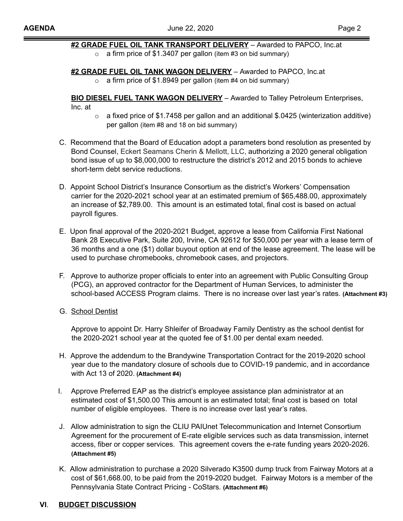# **#2 GRADE FUEL OIL TANK TRANSPORT DELIVERY** – Awarded to PAPCO, Inc.at

 $\circ$  a firm price of \$1.3407 per gallon (item #3 on bid summary)

**#2 GRADE FUEL OIL TANK WAGON DELIVERY** – Awarded to PAPCO, Inc.at

 $\circ$  a firm price of \$1.8949 per gallon (item #4 on bid summary)

**BIO DIESEL FUEL TANK WAGON DELIVERY** – Awarded to Talley Petroleum Enterprises, Inc. at

- o a fixed price of \$1.7458 per gallon and an additional \$.0425 (winterization additive) per gallon (item #8 and 18 on bid summary)
- C. Recommend that the Board of Education adopt a parameters bond resolution as presented by Bond Counsel, Eckert Seamans Cherin & Mellott, LLC, authorizing a 2020 general obligation bond issue of up to \$8,000,000 to restructure the district's 2012 and 2015 bonds to achieve short-term debt service reductions.
- D. Appoint School District's Insurance Consortium as the district's Workers' Compensation carrier for the 2020-2021 school year at an estimated premium of \$65,488.00, approximately an increase of \$2,789.00. This amount is an estimated total, final cost is based on actual payroll figures.
- E. Upon final approval of the 2020-2021 Budget, approve a lease from California First National Bank 28 Executive Park, Suite 200, Irvine, CA 92612 for \$50,000 per year with a lease term of 36 months and a one (\$1) dollar buyout option at end of the lease agreement. The lease will be used to purchase chromebooks, chromebook cases, and projectors.
- F. Approve to authorize proper officials to enter into an agreement with Public Consulting Group (PCG), an approved contractor for the Department of Human Services, to administer the school-based ACCESS Program claims. There is no increase over last year's rates. **(Attachment #3)**
- G. School Dentist

Approve to appoint Dr. Harry Shleifer of Broadway Family Dentistry as the school dentist for the 2020-2021 school year at the quoted fee of \$1.00 per dental exam needed.

- H. Approve the addendum to the Brandywine Transportation Contract for the 2019-2020 school year due to the mandatory closure of schools due to COVID-19 pandemic, and in accordance with Act 13 of 2020. **(Attachment #4)**
- I. Approve Preferred EAP as the district's employee assistance plan administrator at an estimated cost of \$1,500.00 This amount is an estimated total; final cost is based on total number of eligible employees. There is no increase over last year's rates.
- J. Allow administration to sign the CLIU PAIUnet Telecommunication and Internet Consortium Agreement for the procurement of E-rate eligible services such as data transmission, internet access, fiber or copper services. This agreement covers the e-rate funding years 2020-2026. **(Attachment #5)**
- K. Allow administration to purchase a 2020 Silverado K3500 dump truck from Fairway Motors at a cost of \$61,668.00, tobe paid from the 2019-2020 budget. Fairway Motors is a member of the Pennsylvania State Contract Pricing - CoStars. **(Attachment #6)**

# **VI**. **BUDGET DISCUSSION**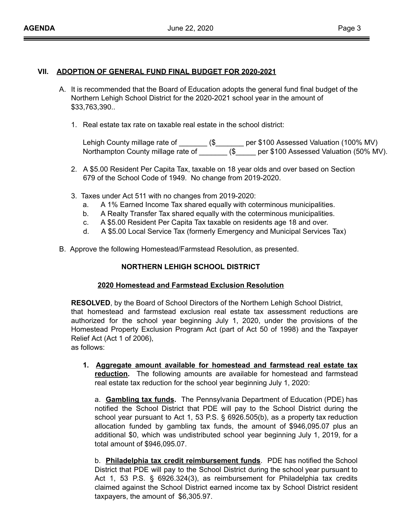### **VII. ADOPTION OF GENERAL FUND FINAL BUDGET FOR 2020-2021**

- A. It is recommended that the Board of Education adopts the general fund final budget of the Northern Lehigh School District for the 2020-2021 school year in the amount of \$33,763,390..
	- 1. Real estate tax rate on taxable real estate in the school district:

Lehigh County millage rate of \_\_\_\_\_\_\_\_ (\$\_\_\_\_\_\_\_\_ per \$100 Assessed Valuation (100% MV) Northampton County millage rate of \_\_\_\_\_\_\_ (\$\_\_\_\_\_ per \$100 Assessed Valuation (50% MV).

- 2. A \$5.00 Resident Per Capita Tax, taxable on 18 year olds and over based on Section 679 of the School Code of 1949. No change from 2019-2020.
- 3. Taxes under Act 511 with no changes from 2019-2020:
	- a. A 1% Earned Income Tax shared equally with coterminous municipalities.
	- b. A Realty Transfer Tax shared equally with the coterminous municipalities.
	- c. A \$5.00 Resident Per Capita Tax taxable on residents age 18 and over.
	- d. A \$5.00 Local Service Tax (formerly Emergency and Municipal Services Tax)
- B. Approve the following Homestead/Farmstead Resolution, as presented.

### **NORTHERN LEHIGH SCHOOL DISTRICT**

#### **2020 Homestead and Farmstead Exclusion Resolution**

**RESOLVED**, by the Board of School Directors of the Northern Lehigh School District, that homestead and farmstead exclusion real estate tax assessment reductions are authorized for the school year beginning July 1, 2020, under the provisions of the Homestead Property Exclusion Program Act (part of Act 50 of 1998) and the Taxpayer Relief Act (Act 1 of 2006),

as follows:

**1. Aggregate amount available for homestead and farmstead real estate tax reduction.** The following amounts are available for homestead and farmstead real estate tax reduction for the school year beginning July 1, 2020:

a. **Gambling tax funds.** The Pennsylvania Department of Education (PDE) has notified the School District that PDE will pay to the School District during the school year pursuant to Act 1, 53 P.S. § 6926.505(b), as a property tax reduction allocation funded by gambling tax funds, the amount of \$946,095.07 plus an additional \$0, which was undistributed school year beginning July 1, 2019, for a total amount of \$946,095.07.

b. **Philadelphia tax credit reimbursement funds**. PDE has notified the School District that PDE will pay to the School District during the school year pursuant to Act 1, 53 P.S. § 6926.324(3), as reimbursement for Philadelphia tax credits claimed against the School District earned income tax by School District resident taxpayers, the amount of \$6,305.97.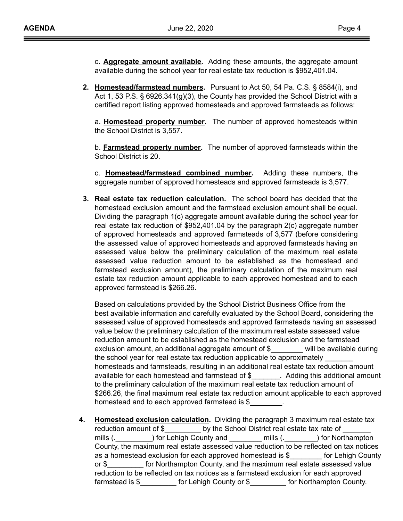c. **Aggregate amount available.** Adding these amounts, the aggregate amount available during the school year for real estate tax reduction is \$952,401.04.

**2. Homestead/farmstead numbers.** Pursuant to Act 50, 54 Pa. C.S. § 8584(i), and Act 1, 53 P.S. § 6926.341(g)(3), the County has provided the School District with a certified report listing approved homesteads and approved farmsteads as follows:

a. **Homestead property number.** The number of approved homesteads within the School District is 3,557.

b. **Farmstead property number.** The number of approved farmsteads within the School District is 20.

c. **Homestead/farmstead combined number.** Adding these numbers, the aggregate number of approved homesteads and approved farmsteads is 3,577.

**3. Real estate tax reduction calculation.** The school board has decided that the homestead exclusion amount and the farmstead exclusion amount shall be equal. Dividing the paragraph 1(c) aggregate amount available during the school year for real estate tax reduction of \$952,401.04 by the paragraph 2(c) aggregate number of approved homesteads and approved farmsteads of 3,577 (before considering the assessed value of approved homesteads and approved farmsteads having an assessed value below the preliminary calculation of the maximum real estate assessed value reduction amount to be established as the homestead and farmstead exclusion amount), the preliminary calculation of the maximum real estate tax reduction amount applicable to each approved homestead and to each approved farmstead is \$266.26.

Based on calculations provided by the School District Business Office from the best available information and carefully evaluated by the School Board, considering the assessed value of approved homesteads and approved farmsteads having an assessed value below the preliminary calculation of the maximum real estate assessed value reduction amount to be established as the homestead exclusion and the farmstead exclusion amount, an additional aggregate amount of \$\_\_\_\_\_\_\_\_ will be available during the school year for real estate tax reduction applicable to approximately homesteads and farmsteads, resulting in an additional real estate tax reduction amount available for each homestead and farmstead of \$\_\_\_\_\_\_\_. Adding this additional amount to the preliminary calculation of the maximum real estate tax reduction amount of \$266.26, the final maximum real estate tax reduction amount applicable to each approved homestead and to each approved farmstead is \$

**4. Homestead exclusion calculation.** Dividing the paragraph 3 maximum real estate tax reduction amount of \$\_\_\_\_\_\_\_\_\_\_ by the School District real estate tax rate of \_ mills (.\_\_\_\_\_\_\_\_\_) for Lehigh County and \_\_\_\_\_\_\_\_ mills (.\_\_\_\_\_\_\_) for Northampton County, the maximum real estate assessed value reduction to be reflected on tax notices as a homestead exclusion for each approved homestead is \$\_\_\_\_\_\_\_\_ for Lehigh County or \$\_\_\_\_\_\_\_\_\_ for Northampton County, and the maximum real estate assessed value reduction to be reflected on tax notices as a farmstead exclusion for each approved farmstead is \$\_\_\_\_\_\_\_\_\_ for Lehigh County or \$\_\_\_\_\_\_\_\_\_ for Northampton County.